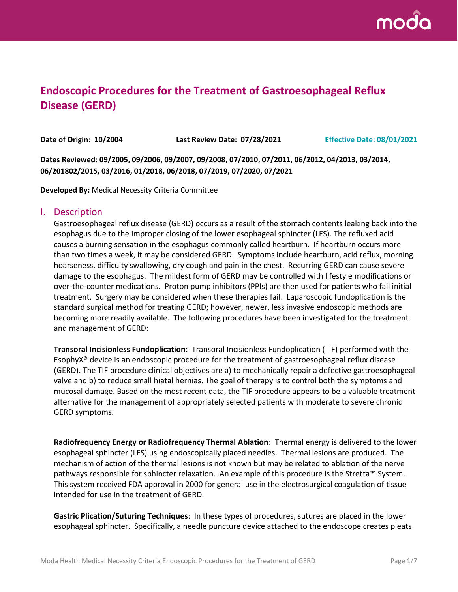

# **Endoscopic Procedures for the Treatment of Gastroesophageal Reflux Disease (GERD)**

**Date of Origin: 10/2004 Last Review Date: 07/28/2021 Effective Date: 08/01/2021**

**Dates Reviewed: 09/2005, 09/2006, 09/2007, 09/2008, 07/2010, 07/2011, 06/2012, 04/2013, 03/2014, 06/201802/2015, 03/2016, 01/2018, 06/2018, 07/2019, 07/2020, 07/2021**

**Developed By:** Medical Necessity Criteria Committee

#### I. Description

Gastroesophageal reflux disease (GERD) occurs as a result of the stomach contents leaking back into the esophagus due to the improper closing of the lower esophageal sphincter (LES). The refluxed acid causes a burning sensation in the esophagus commonly called heartburn. If heartburn occurs more than two times a week, it may be considered GERD. Symptoms include heartburn, acid reflux, morning hoarseness, difficulty swallowing, dry cough and pain in the chest. Recurring GERD can cause severe damage to the esophagus. The mildest form of GERD may be controlled with lifestyle modifications or over-the-counter medications. Proton pump inhibitors (PPIs) are then used for patients who fail initial treatment. Surgery may be considered when these therapies fail. Laparoscopic fundoplication is the standard surgical method for treating GERD; however, newer, less invasive endoscopic methods are becoming more readily available. The following procedures have been investigated for the treatment and management of GERD:

**Transoral Incisionless Fundoplication:** Transoral Incisionless Fundoplication (TIF) performed with the EsophyX® device is an endoscopic procedure for the treatment of gastroesophageal reflux disease (GERD). The TIF procedure clinical objectives are a) to mechanically repair a defective gastroesophageal valve and b) to reduce small hiatal hernias. The goal of therapy is to control both the symptoms and mucosal damage. Based on the most recent data, the TIF procedure appears to be a valuable treatment alternative for the management of appropriately selected patients with moderate to severe chronic GERD symptoms.

**Radiofrequency Energy or Radiofrequency Thermal Ablation**: Thermal energy is delivered to the lower esophageal sphincter (LES) using endoscopically placed needles. Thermal lesions are produced. The mechanism of action of the thermal lesions is not known but may be related to ablation of the nerve pathways responsible for sphincter relaxation. An example of this procedure is the Stretta™ System. This system received FDA approval in 2000 for general use in the electrosurgical coagulation of tissue intended for use in the treatment of GERD.

**Gastric Plication/Suturing Techniques**: In these types of procedures, sutures are placed in the lower esophageal sphincter. Specifically, a needle puncture device attached to the endoscope creates pleats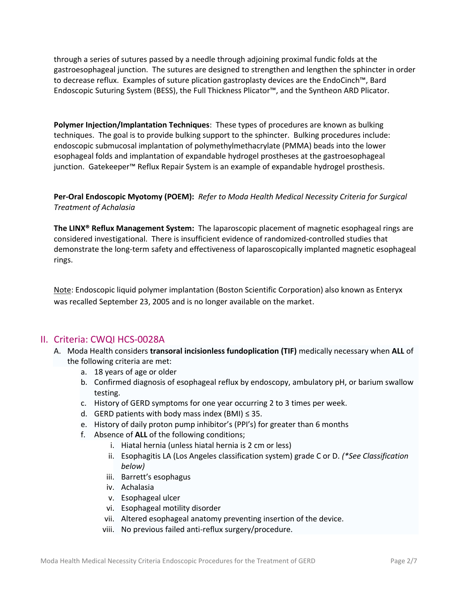through a series of sutures passed by a needle through adjoining proximal fundic folds at the gastroesophageal junction. The sutures are designed to strengthen and lengthen the sphincter in order to decrease reflux. Examples of suture plication gastroplasty devices are the EndoCinch™, Bard Endoscopic Suturing System (BESS), the Full Thickness Plicator™, and the Syntheon ARD Plicator.

**Polymer Injection/Implantation Techniques**: These types of procedures are known as bulking techniques. The goal is to provide bulking support to the sphincter. Bulking procedures include: endoscopic submucosal implantation of polymethylmethacrylate (PMMA) beads into the lower esophageal folds and implantation of expandable hydrogel prostheses at the gastroesophageal junction. Gatekeeper™ Reflux Repair System is an example of expandable hydrogel prosthesis.

### **Per-Oral Endoscopic Myotomy (POEM):** *Refer to Moda Health Medical Necessity Criteria for Surgical Treatment of Achalasia*

**The LINX® Reflux Management System:** The laparoscopic placement of magnetic esophageal rings are considered investigational. There is insufficient evidence of randomized-controlled studies that demonstrate the long-term safety and effectiveness of laparoscopically implanted magnetic esophageal rings.

Note: Endoscopic liquid polymer implantation (Boston Scientific Corporation) also known as Enteryx was recalled September 23, 2005 and is no longer available on the market.

# II. Criteria: CWQI HCS-0028A

- A. Moda Health considers **transoral incisionless fundoplication (TIF)** medically necessary when **ALL** of the following criteria are met:
	- a. 18 years of age or older
	- b. Confirmed diagnosis of esophageal reflux by endoscopy, ambulatory pH, or barium swallow testing.
	- c. History of GERD symptoms for one year occurring 2 to 3 times per week.
	- d. GERD patients with body mass index (BMI)  $\leq$  35.
	- e. History of daily proton pump inhibitor's (PPI's) for greater than 6 months
	- f. Absence of **ALL** of the following conditions;
		- i. Hiatal hernia (unless hiatal hernia is 2 cm or less)
		- ii. Esophagitis LA (Los Angeles classification system) grade C or D. *(\*See Classification below)*
		- iii. Barrett's esophagus
		- iv. Achalasia
		- v. Esophageal ulcer
		- vi. Esophageal motility disorder
		- vii. Altered esophageal anatomy preventing insertion of the device.
		- viii. No previous failed anti-reflux surgery/procedure.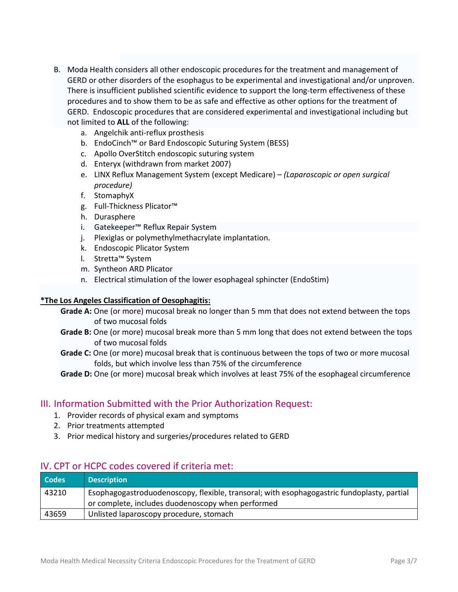- B. Moda Health considers all other endoscopic procedures for the treatment and management of GERD or other disorders of the esophagus to be experimental and investigational and/or unproven. There is insufficient published scientific evidence to support the long-term effectiveness of these procedures and to show them to be as safe and effective as other options for the treatment of GERD. Endoscopic procedures that are considered experimental and investigational including but not limited to **ALL** of the following:
	- a. Angelchik anti-reflux prosthesis
	- b. EndoCinch™ or Bard Endoscopic Suturing System (BESS)
	- c. Apollo OverStitch endoscopic suturing system
	- d. Enteryx (withdrawn from market 2007)
	- e. LINX Reflux Management System (except Medicare) *(Laparoscopic or open surgical procedure)*
	- f. StomaphyX
	- g. Full-Thickness Plicator™
	- h. Durasphere
	- i. Gatekeeper™ Reflux Repair System
	- j. Plexiglas or polymethylmethacrylate implantation.
	- k. Endoscopic Plicator System
	- l. Stretta™ System
	- m. Syntheon ARD Plicator
	- n. Electrical stimulation of the lower esophageal sphincter (EndoStim)

### **\*The Los Angeles Classification of Oesophagitis:**

- **Grade A:** One (or more) mucosal break no longer than 5 mm that does not extend between the tops of two mucosal folds
- **Grade B:** One (or more) mucosal break more than 5 mm long that does not extend between the tops of two mucosal folds
- **Grade C:** One (or more) mucosal break that is continuous between the tops of two or more mucosal folds, but which involve less than 75% of the circumference
- **Grade D:** One (or more) mucosal break which involves at least 75% of the esophageal circumference

### III. Information Submitted with the Prior Authorization Request:

- 1. Provider records of physical exam and symptoms
- 2. Prior treatments attempted
- 3. Prior medical history and surgeries/procedures related to GERD

### IV. CPT or HCPC codes covered if criteria met:

| <b>Codes</b> | <b>Description</b>                                                                         |
|--------------|--------------------------------------------------------------------------------------------|
| 43210        | Esophagogastroduodenoscopy, flexible, transoral; with esophagogastric fundoplasty, partial |
|              | or complete, includes duodenoscopy when performed                                          |
| 43659        | Unlisted laparoscopy procedure, stomach                                                    |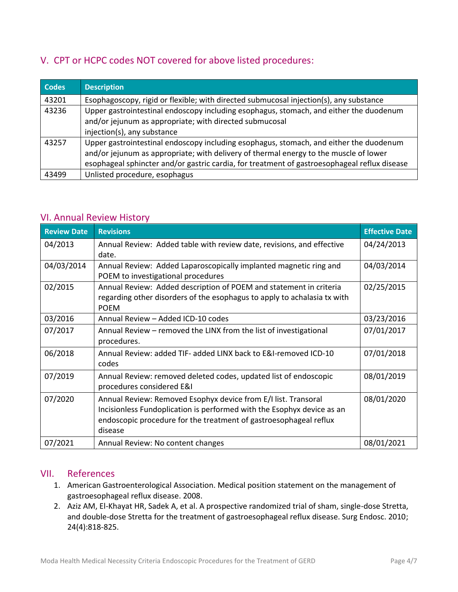# V. CPT or HCPC codes NOT covered for above listed procedures:

| <b>Codes</b> | <b>Description</b>                                                                           |  |
|--------------|----------------------------------------------------------------------------------------------|--|
| 43201        | Esophagoscopy, rigid or flexible; with directed submucosal injection(s), any substance       |  |
| 43236        | Upper gastrointestinal endoscopy including esophagus, stomach, and either the duodenum       |  |
|              | and/or jejunum as appropriate; with directed submucosal                                      |  |
|              | injection(s), any substance                                                                  |  |
| 43257        | Upper gastrointestinal endoscopy including esophagus, stomach, and either the duodenum       |  |
|              | and/or jejunum as appropriate; with delivery of thermal energy to the muscle of lower        |  |
|              | esophageal sphincter and/or gastric cardia, for treatment of gastroesophageal reflux disease |  |
| 43499        | Unlisted procedure, esophagus                                                                |  |

### VI. Annual Review History

| <b>Review Date</b> | <b>Revisions</b>                                                                                                                                                                                                         | <b>Effective Date</b> |
|--------------------|--------------------------------------------------------------------------------------------------------------------------------------------------------------------------------------------------------------------------|-----------------------|
| 04/2013            | Annual Review: Added table with review date, revisions, and effective<br>date.                                                                                                                                           | 04/24/2013            |
| 04/03/2014         | Annual Review: Added Laparoscopically implanted magnetic ring and<br>POEM to investigational procedures                                                                                                                  | 04/03/2014            |
| 02/2015            | Annual Review: Added description of POEM and statement in criteria<br>regarding other disorders of the esophagus to apply to achalasia tx with<br><b>POEM</b>                                                            | 02/25/2015            |
| 03/2016            | Annual Review - Added ICD-10 codes                                                                                                                                                                                       | 03/23/2016            |
| 07/2017            | Annual Review - removed the LINX from the list of investigational<br>procedures.                                                                                                                                         | 07/01/2017            |
| 06/2018            | Annual Review: added TIF- added LINX back to E&I-removed ICD-10<br>codes                                                                                                                                                 | 07/01/2018            |
| 07/2019            | Annual Review: removed deleted codes, updated list of endoscopic<br>procedures considered E&I                                                                                                                            | 08/01/2019            |
| 07/2020            | Annual Review: Removed Esophyx device from E/I list. Transoral<br>Incisionless Fundoplication is performed with the Esophyx device as an<br>endoscopic procedure for the treatment of gastroesophageal reflux<br>disease | 08/01/2020            |
| 07/2021            | Annual Review: No content changes                                                                                                                                                                                        | 08/01/2021            |

### VII. References

- 1. American Gastroenterological Association. Medical position statement on the management of gastroesophageal reflux disease. 2008.
- 2. Aziz AM, El-Khayat HR, Sadek A, et al. A prospective randomized trial of sham, single-dose Stretta, and double-dose Stretta for the treatment of gastroesophageal reflux disease. Surg Endosc. 2010; 24(4):818-825.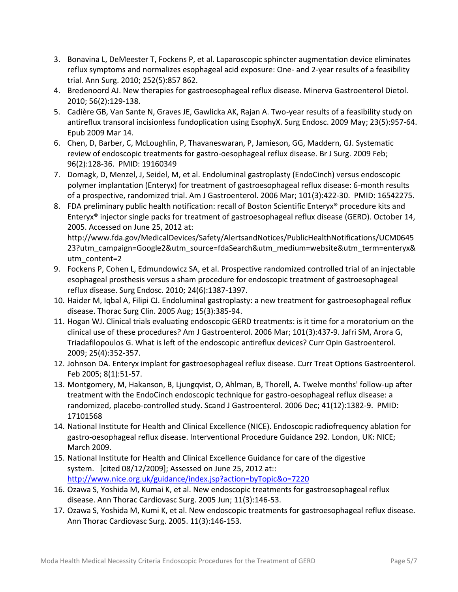- 3. Bonavina L, DeMeester T, Fockens P, et al. Laparoscopic sphincter augmentation device eliminates reflux symptoms and normalizes esophageal acid exposure: One- and 2-year results of a feasibility trial. Ann Surg. 2010; 252(5):857 862.
- 4. Bredenoord AJ. New therapies for gastroesophageal reflux disease. Minerva Gastroenterol Dietol. 2010; 56(2):129-138.
- 5. Cadière GB, Van Sante N, Graves JE, Gawlicka AK, Rajan A. Two-year results of a feasibility study on antireflux transoral incisionless fundoplication using EsophyX. Surg Endosc. 2009 May; 23(5):957-64. Epub 2009 Mar 14.
- 6. Chen, D, Barber, C, McLoughlin, P, Thavaneswaran, P, Jamieson, GG, Maddern, GJ. Systematic review of endoscopic treatments for gastro-oesophageal reflux disease. Br J Surg. 2009 Feb; 96(2):128-36. PMID: 19160349
- 7. Domagk, D, Menzel, J, Seidel, M, et al. Endoluminal gastroplasty (EndoCinch) versus endoscopic polymer implantation (Enteryx) for treatment of gastroesophageal reflux disease: 6-month results of a prospective, randomized trial. Am J Gastroenterol. 2006 Mar; 101(3):422-30. PMID: 16542275.
- 8. FDA preliminary public health notification: recall of Boston Scientific Enteryx® procedure kits and Enteryx® injector single packs for treatment of gastroesophageal reflux disease (GERD). October 14, 2005. Accessed on June 25, 2012 at:

http://www.fda.gov/MedicalDevices/Safety/AlertsandNotices/PublicHealthNotifications/UCM0645 23?utm\_campaign=Google2&utm\_source=fdaSearch&utm\_medium=website&utm\_term=enteryx& utm\_content=2

- 9. Fockens P, Cohen L, Edmundowicz SA, et al. Prospective randomized controlled trial of an injectable esophageal prosthesis versus a sham procedure for endoscopic treatment of gastroesophageal reflux disease. Surg Endosc. 2010; 24(6):1387-1397.
- 10. Haider M, Iqbal A, Filipi CJ. Endoluminal gastroplasty: a new treatment for gastroesophageal reflux disease. Thorac Surg Clin. 2005 Aug; 15(3):385-94.
- 11. Hogan WJ. Clinical trials evaluating endoscopic GERD treatments: is it time for a moratorium on the clinical use of these procedures? Am J Gastroenterol. 2006 Mar; 101(3):437-9. Jafri SM, Arora G, Triadafilopoulos G. What is left of the endoscopic antireflux devices? Curr Opin Gastroenterol. 2009; 25(4):352-357.
- 12. Johnson DA. Enteryx implant for gastroesophageal reflux disease. Curr Treat Options Gastroenterol. Feb 2005; 8(1):51-57.
- 13. Montgomery, M, Hakanson, B, Ljungqvist, O, Ahlman, B, Thorell, A. Twelve months' follow-up after treatment with the EndoCinch endoscopic technique for gastro-oesophageal reflux disease: a randomized, placebo-controlled study. Scand J Gastroenterol. 2006 Dec; 41(12):1382-9. PMID: 17101568
- 14. National Institute for Health and Clinical Excellence (NICE). Endoscopic radiofrequency ablation for gastro-oesophageal reflux disease. Interventional Procedure Guidance 292. London, UK: NICE; March 2009.
- 15. National Institute for Health and Clinical Excellence Guidance for care of the digestive system. [cited 08/12/2009]; Assessed on June 25, 2012 at:: <http://www.nice.org.uk/guidance/index.jsp?action=byTopic&o=7220>
- 16. Ozawa S, Yoshida M, Kumai K, et al. New endoscopic treatments for gastroesophageal reflux disease. Ann Thorac Cardiovasc Surg. 2005 Jun; 11(3):146-53.
- 17. Ozawa S, Yoshida M, Kumi K, et al. New endoscopic treatments for gastroesophageal reflux disease. Ann Thorac Cardiovasc Surg. 2005. 11(3):146-153.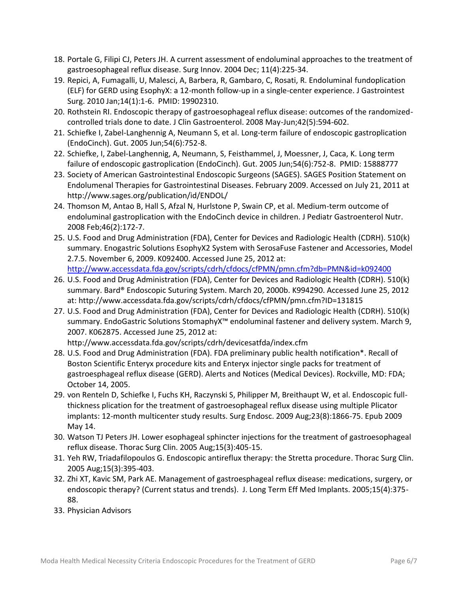- 18. Portale G, Filipi CJ, Peters JH. A current assessment of endoluminal approaches to the treatment of gastroesophageal reflux disease. Surg Innov. 2004 Dec; 11(4):225-34.
- 19. Repici, A, Fumagalli, U, Malesci, A, Barbera, R, Gambaro, C, Rosati, R. Endoluminal fundoplication (ELF) for GERD using EsophyX: a 12-month follow-up in a single-center experience. J Gastrointest Surg. 2010 Jan;14(1):1-6. PMID: 19902310.
- 20. Rothstein RI. Endoscopic therapy of gastroesophageal reflux disease: outcomes of the randomizedcontrolled trials done to date. J Clin Gastroenterol. 2008 May-Jun;42(5):594-602.
- 21. Schiefke I, Zabel-Langhennig A, Neumann S, et al. Long-term failure of endoscopic gastroplication (EndoCinch). Gut. 2005 Jun;54(6):752-8.
- 22. Schiefke, I, Zabel-Langhennig, A, Neumann, S, Feisthammel, J, Moessner, J, Caca, K. Long term failure of endoscopic gastroplication (EndoCinch). Gut. 2005 Jun;54(6):752-8. PMID: 15888777
- 23. Society of American Gastrointestinal Endoscopic Surgeons (SAGES). SAGES Position Statement on Endolumenal Therapies for Gastrointestinal Diseases. February 2009. Accessed on July 21, 2011 at http://www.sages.org/publication/id/ENDOL/
- 24. Thomson M, Antao B, Hall S, Afzal N, Hurlstone P, Swain CP, et al. Medium-term outcome of endoluminal gastroplication with the EndoCinch device in children. J Pediatr Gastroenterol Nutr. 2008 Feb;46(2):172-7.
- 25. U.S. Food and Drug Administration (FDA), Center for Devices and Radiologic Health (CDRH). 510(k) summary. Enogastric Solutions EsophyX2 System with SerosaFuse Fastener and Accessories, Model 2.7.5. November 6, 2009. K092400. Accessed June 25, 2012 at: [http://www.accessdata.fda.gov/scripts/cdrh/cfdocs/cfPMN/pmn.cfm?db=PMN&id=k092400](http://www.accessdata.fda.gov/scripts/cdrh/cfdocs/cfPMN/pmn.cfm?db=PMN&id=k092400%20)
- 26. U.S. Food and Drug Administration (FDA), Center for Devices and Radiologic Health (CDRH). 510(k)
- summary. Bard® Endoscopic Suturing System. March 20, 2000b. K994290. Accessed June 25, 2012 at: http://www.accessdata.fda.gov/scripts/cdrh/cfdocs/cfPMN/pmn.cfm?ID=131815
- 27. U.S. Food and Drug Administration (FDA), Center for Devices and Radiologic Health (CDRH). 510(k) summary. EndoGastric Solutions StomaphyX™ endoluminal fastener and delivery system. March 9, 2007. K062875. Accessed June 25, 2012 at:

http://www.accessdata.fda.gov/scripts/cdrh/devicesatfda/index.cfm

- 28. U.S. Food and Drug Administration (FDA). FDA preliminary public health notification\*. Recall of Boston Scientific Enteryx procedure kits and Enteryx injector single packs for treatment of gastroesphageal reflux disease (GERD). Alerts and Notices (Medical Devices). Rockville, MD: FDA; October 14, 2005.
- 29. von Renteln D, Schiefke I, Fuchs KH, Raczynski S, Philipper M, Breithaupt W, et al. Endoscopic fullthickness plication for the treatment of gastroesophageal reflux disease using multiple Plicator implants: 12-month multicenter study results. Surg Endosc. 2009 Aug;23(8):1866-75. Epub 2009 May 14.
- 30. Watson TJ Peters JH. Lower esophageal sphincter injections for the treatment of gastroesophageal reflux disease. Thorac Surg Clin. 2005 Aug;15(3):405-15.
- 31. Yeh RW, Triadafilopoulos G. Endoscopic antireflux therapy: the Stretta procedure. Thorac Surg Clin. 2005 Aug;15(3):395-403.
- 32. Zhi XT, Kavic SM, Park AE. Management of gastroesphageal reflux disease: medications, surgery, or endoscopic therapy? (Current status and trends). J. Long Term Eff Med Implants. 2005;15(4):375- 88.
- 33. Physician Advisors